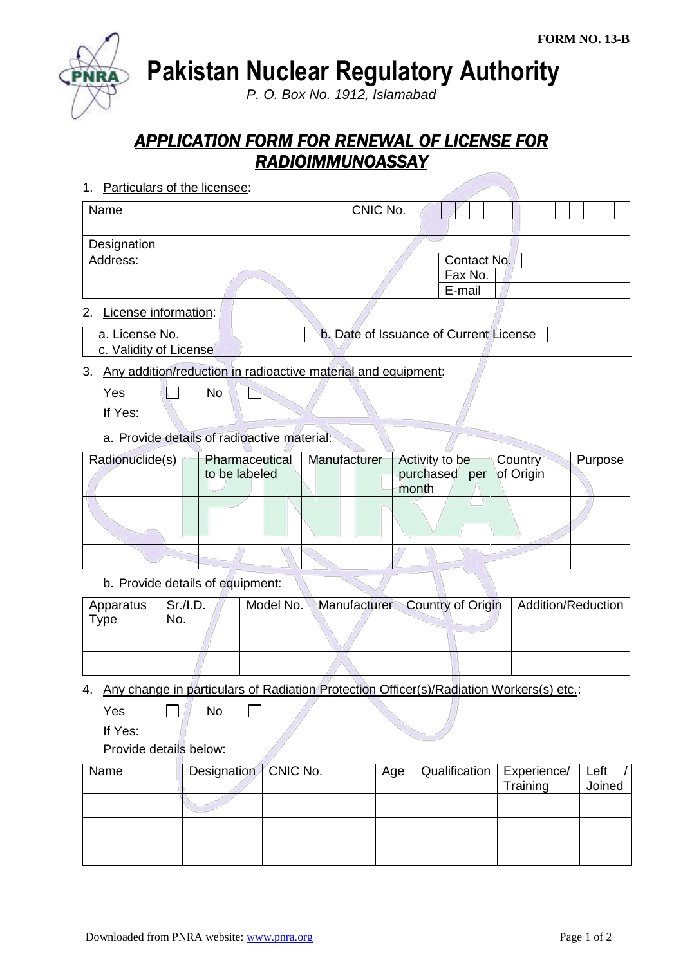**Pakistan Nuclear Regulatory Authority**

*P. O. Box No. 1912, Islamabad*

## *APPLICATION FORM FOR RENEWAL OF LICENSE FOR RADIOIMMUNOASSAY*

1. Particulars of the licensee:

| Name        | CNIC No. |             |  |  |  |
|-------------|----------|-------------|--|--|--|
|             |          |             |  |  |  |
| Designation |          |             |  |  |  |
| Address:    |          | Contact No. |  |  |  |
|             |          | Fax No.     |  |  |  |
|             |          | E-mail      |  |  |  |
|             |          |             |  |  |  |

2. License information:

| a. License No. | b. Date of Issuance of Current License |  |
|----------------|----------------------------------------|--|
| .              |                                        |  |

## | c. Validity of License

3. Any addition/reduction in radioactive material and equipment:

 $Yes \t N$ F

If Yes:

a. Provide details of radioactive material:

| Radionuclide(s)<br>Pharmaceutical |               | Manufacturer | Activity to be          | Country | Purpose |
|-----------------------------------|---------------|--------------|-------------------------|---------|---------|
|                                   | to be labeled |              | purchased per of Origin |         |         |
|                                   |               |              | month                   |         |         |
|                                   |               |              |                         |         |         |
|                                   |               |              |                         |         |         |
|                                   |               |              |                         |         |         |

b. Provide details of equipment:

| Apparatus<br>Type | $\vert$ Sr./I.D.<br>No. |  |  | Model No.   Manufacturer   Country of Origin   Addition/Reduction |
|-------------------|-------------------------|--|--|-------------------------------------------------------------------|
|                   |                         |  |  |                                                                   |
|                   |                         |  |  |                                                                   |

4. Any change in particulars of Radiation Protection Officer(s)/Radiation Workers(s) etc.:

 $Yes \qquad \Box \qquad No$ 

 $\Box$ 

If Yes:

Provide details below:

| Name | Designation   CNIC No. | Age | Qualification   Experience/ |          | Left   |
|------|------------------------|-----|-----------------------------|----------|--------|
|      |                        |     |                             | Training | Joined |
|      |                        |     |                             |          |        |
|      |                        |     |                             |          |        |
|      |                        |     |                             |          |        |